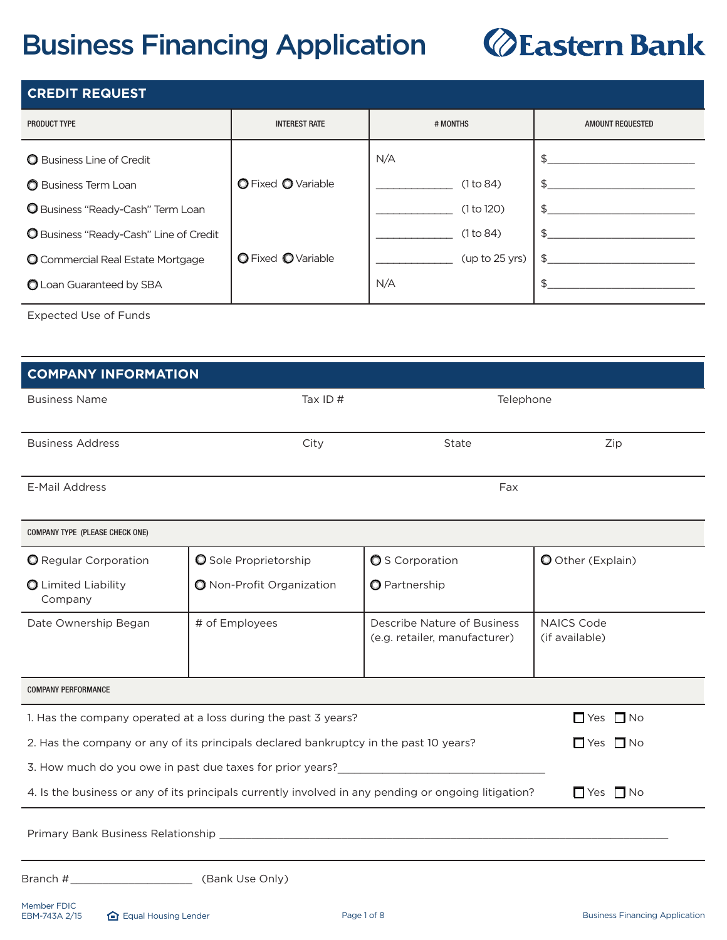## **Business Financing Application**

# *<u>@Eastern Bank</u>*

| <b>CREDIT REQUEST</b>                    |                      |                |                  |
|------------------------------------------|----------------------|----------------|------------------|
| PRODUCT TYPE                             | <b>INTEREST RATE</b> | # MONTHS       | AMOUNT REQUESTED |
| <b>O</b> Business Line of Credit         |                      | N/A            |                  |
| Business Term Loan                       | O Fixed O Variable   | (1 to 84)      |                  |
| <b>O</b> Business "Ready-Cash" Term Loan |                      | (1 to 120)     |                  |
| O Business "Ready-Cash" Line of Credit   |                      | (1 to 84)      |                  |
| O Commercial Real Estate Mortgage        | O Fixed OVariable    | (up to 25 yrs) |                  |
| O Loan Guaranteed by SBA                 |                      | N/A            |                  |

Expected Use of Funds

| <b>COMPANY INFORMATION</b>                                                                                    |                                                                                       |                               |                      |  |
|---------------------------------------------------------------------------------------------------------------|---------------------------------------------------------------------------------------|-------------------------------|----------------------|--|
|                                                                                                               |                                                                                       |                               |                      |  |
| <b>Business Name</b>                                                                                          | Tax ID $#$                                                                            | Telephone                     |                      |  |
|                                                                                                               |                                                                                       |                               |                      |  |
| <b>Business Address</b>                                                                                       | City                                                                                  | State                         | Zip                  |  |
|                                                                                                               |                                                                                       |                               |                      |  |
| <b>E-Mail Address</b>                                                                                         |                                                                                       | Fax                           |                      |  |
|                                                                                                               |                                                                                       |                               |                      |  |
| COMPANY TYPE (PLEASE CHECK ONE)                                                                               |                                                                                       |                               |                      |  |
| <b>O</b> Regular Corporation                                                                                  | O Sole Proprietorship                                                                 | <b>O</b> S Corporation        | O Other (Explain)    |  |
| O Limited Liability                                                                                           | O Non-Profit Organization                                                             | O Partnership                 |                      |  |
| Company                                                                                                       |                                                                                       |                               |                      |  |
| Date Ownership Began                                                                                          | # of Employees                                                                        | Describe Nature of Business   | <b>NAICS Code</b>    |  |
|                                                                                                               |                                                                                       | (e.g. retailer, manufacturer) | (if available)       |  |
|                                                                                                               |                                                                                       |                               |                      |  |
| <b>COMPANY PERFORMANCE</b>                                                                                    |                                                                                       |                               |                      |  |
|                                                                                                               | 1. Has the company operated at a loss during the past 3 years?                        |                               | $\Box$ Yes $\Box$ No |  |
|                                                                                                               | 2. Has the company or any of its principals declared bankruptcy in the past 10 years? |                               | $\Box$ Yes $\Box$ No |  |
|                                                                                                               | 3. How much do you owe in past due taxes for prior years?                             |                               |                      |  |
| 4. Is the business or any of its principals currently involved in any pending or ongoing litigation?          |                                                                                       |                               | $\Box$ Yes $\Box$ No |  |
|                                                                                                               |                                                                                       |                               |                      |  |
| Primary Bank Business Relationship experience and the control of the control of the control of the control of |                                                                                       |                               |                      |  |
|                                                                                                               |                                                                                       |                               |                      |  |
|                                                                                                               |                                                                                       |                               |                      |  |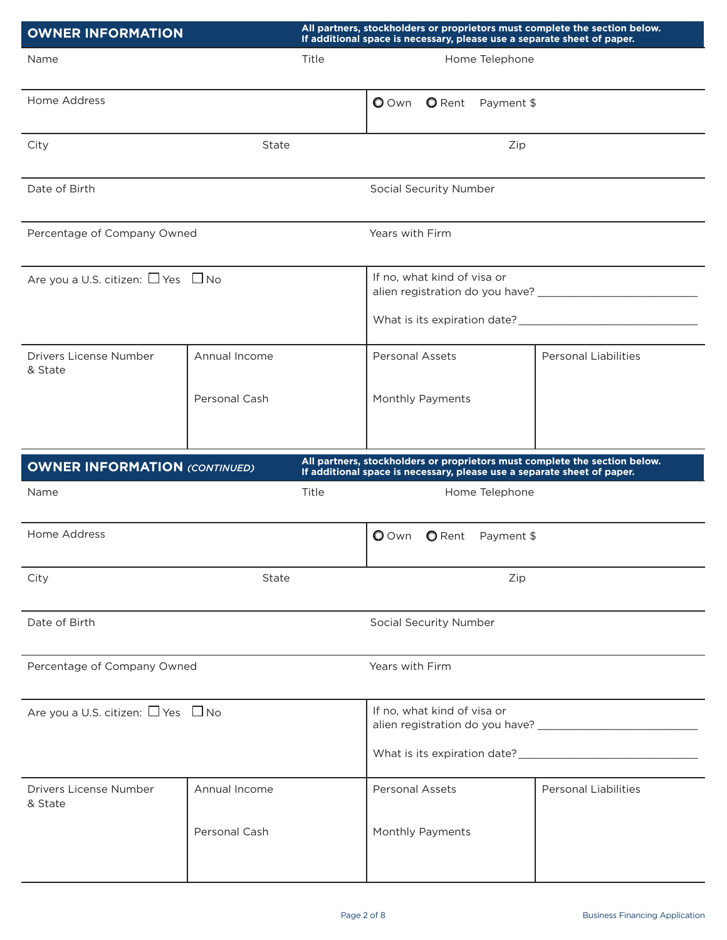| <b>OWNER INFORMATION</b>                     |                                | All partners, stockholders or proprietors must complete the section below.<br>If additional space is necessary, please use a separate sheet of paper. |                                                                         |                          |                                                                            |
|----------------------------------------------|--------------------------------|-------------------------------------------------------------------------------------------------------------------------------------------------------|-------------------------------------------------------------------------|--------------------------|----------------------------------------------------------------------------|
| Name                                         | Title                          |                                                                                                                                                       |                                                                         | Home Telephone           |                                                                            |
| Home Address                                 |                                |                                                                                                                                                       | $\bullet$ Own<br><b>O</b> Rent                                          | Payment \$               |                                                                            |
| City                                         | State                          |                                                                                                                                                       |                                                                         | Zip                      |                                                                            |
| Date of Birth                                |                                |                                                                                                                                                       | Social Security Number                                                  |                          |                                                                            |
| Percentage of Company Owned                  |                                |                                                                                                                                                       | Years with Firm                                                         |                          |                                                                            |
| Are you a U.S. citizen: $\Box$ Yes $\Box$ No |                                |                                                                                                                                                       | If no, what kind of visa or                                             |                          |                                                                            |
| Drivers License Number<br>& State            | Annual Income<br>Personal Cash |                                                                                                                                                       | Personal Assets<br>Monthly Payments                                     |                          | <b>Personal Liabilities</b>                                                |
|                                              |                                |                                                                                                                                                       |                                                                         |                          |                                                                            |
|                                              |                                |                                                                                                                                                       |                                                                         |                          |                                                                            |
| <b>OWNER INFORMATION (CONTINUED)</b>         |                                |                                                                                                                                                       |                                                                         |                          | All partners, stockholders or proprietors must complete the section below. |
| Name                                         | Title                          |                                                                                                                                                       | If additional space is necessary, please use a separate sheet of paper. | Home Telephone           |                                                                            |
| Home Address                                 |                                |                                                                                                                                                       | <b>O</b> Own                                                            | <b>O</b> Rent Payment \$ |                                                                            |
| City                                         | State                          |                                                                                                                                                       |                                                                         | Zip                      |                                                                            |
| Date of Birth                                |                                |                                                                                                                                                       | Social Security Number                                                  |                          |                                                                            |
| Percentage of Company Owned                  |                                |                                                                                                                                                       | Years with Firm                                                         |                          |                                                                            |
| Are you a U.S. citizen: $\Box$ Yes $\Box$ No |                                |                                                                                                                                                       | If no, what kind of visa or                                             |                          |                                                                            |
|                                              |                                |                                                                                                                                                       |                                                                         |                          |                                                                            |
| Drivers License Number<br>& State            | Annual Income                  |                                                                                                                                                       | <b>Personal Assets</b>                                                  |                          | <b>Personal Liabilities</b>                                                |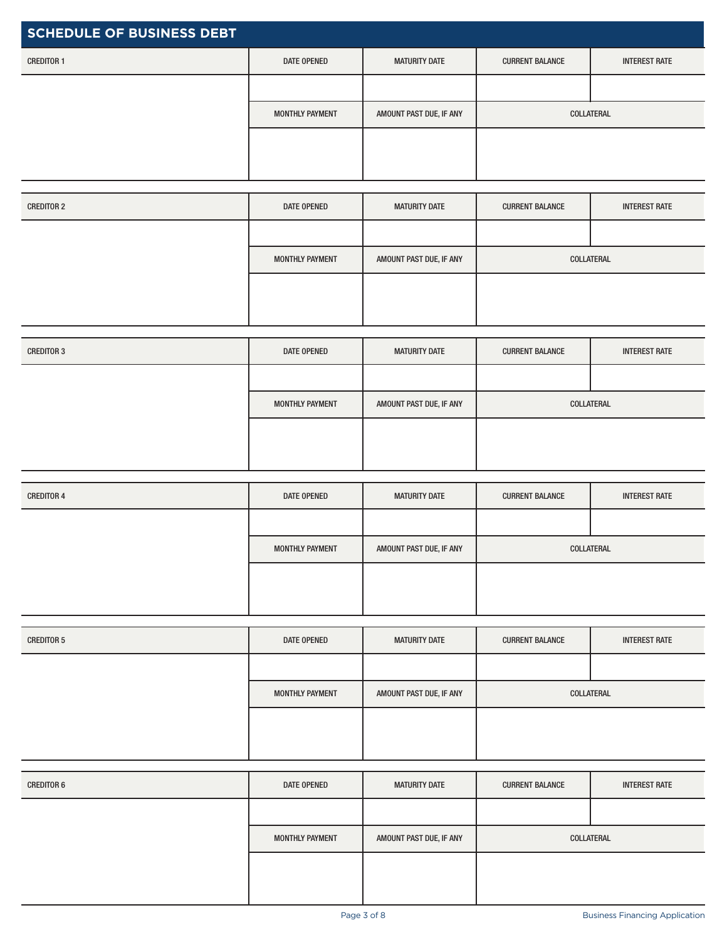| <b>SCHEDULE OF BUSINESS DEBT</b> |                        |                         |                        |                      |
|----------------------------------|------------------------|-------------------------|------------------------|----------------------|
| <b>CREDITOR 1</b>                | DATE OPENED            | <b>MATURITY DATE</b>    | <b>CURRENT BALANCE</b> | <b>INTEREST RATE</b> |
|                                  |                        |                         |                        |                      |
|                                  | <b>MONTHLY PAYMENT</b> | AMOUNT PAST DUE, IF ANY | COLLATERAL             |                      |
|                                  |                        |                         |                        |                      |
|                                  |                        |                         |                        |                      |

| <b>CREDITOR 2</b> | DATE OPENED            | <b>MATURITY DATE</b>    | <b>CURRENT BALANCE</b> | <b>INTEREST RATE</b> |
|-------------------|------------------------|-------------------------|------------------------|----------------------|
|                   |                        |                         |                        |                      |
|                   | <b>MONTHLY PAYMENT</b> | AMOUNT PAST DUE, IF ANY |                        | COLLATERAL           |
|                   |                        |                         |                        |                      |
|                   |                        |                         |                        |                      |

| <b>CREDITOR 3</b> | DATE OPENED            | <b>MATURITY DATE</b>    | <b>CURRENT BALANCE</b> | <b>INTEREST RATE</b> |
|-------------------|------------------------|-------------------------|------------------------|----------------------|
|                   |                        |                         |                        |                      |
|                   | <b>MONTHLY PAYMENT</b> | AMOUNT PAST DUE, IF ANY |                        | COLLATERAL           |
|                   |                        |                         |                        |                      |
|                   |                        |                         |                        |                      |

| <b>CREDITOR 4</b> | DATE OPENED            | <b>MATURITY DATE</b>    | <b>CURRENT BALANCE</b> | <b>INTEREST RATE</b> |
|-------------------|------------------------|-------------------------|------------------------|----------------------|
|                   |                        |                         |                        |                      |
|                   | <b>MONTHLY PAYMENT</b> | AMOUNT PAST DUE, IF ANY |                        | COLLATERAL           |
|                   |                        |                         |                        |                      |
|                   |                        |                         |                        |                      |

| <b>CREDITOR 5</b> | DATE OPENED            | <b>MATURITY DATE</b>    | <b>CURRENT BALANCE</b> | <b>INTEREST RATE</b> |
|-------------------|------------------------|-------------------------|------------------------|----------------------|
|                   |                        |                         |                        |                      |
|                   | <b>MONTHLY PAYMENT</b> | AMOUNT PAST DUE, IF ANY | COLLATERAL             |                      |
|                   |                        |                         |                        |                      |
|                   |                        |                         |                        |                      |

| <b>CREDITOR 6</b> | DATE OPENED     | <b>MATURITY DATE</b>    | <b>CURRENT BALANCE</b> | <b>INTEREST RATE</b> |
|-------------------|-----------------|-------------------------|------------------------|----------------------|
|                   |                 |                         |                        |                      |
|                   | MONTHLY PAYMENT | AMOUNT PAST DUE, IF ANY |                        | COLLATERAL           |
|                   |                 |                         |                        |                      |
|                   |                 |                         |                        |                      |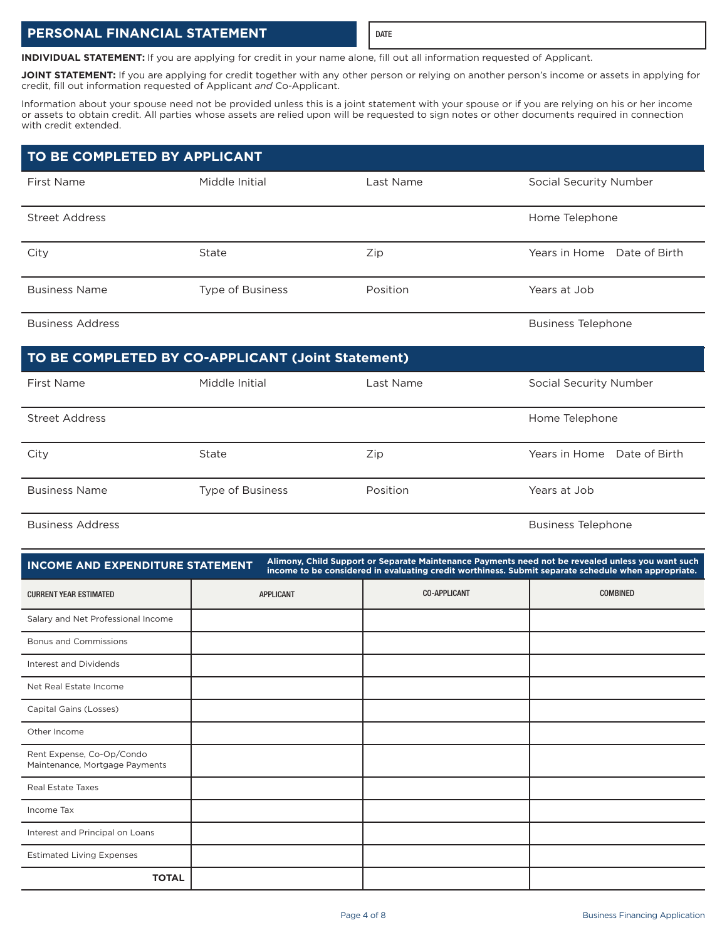## **PERSONAL FINANCIAL STATEMENT**

**INDIVIDUAL STATEMENT:** If you are applying for credit in your name alone, fill out all information requested of Applicant.

JOINT STATEMENT: If you are applying for credit together with any other person or relying on another person's income or assets in applying for credit, fill out information requested of Applicant and Co-Applicant.

Information about your spouse need not be provided unless this is a joint statement with your spouse or if you are relying on his or her income or assets to obtain credit. All parties whose assets are relied upon will be requested to sign notes or other documents required in connection with credit extended.

## **TO BE COMPLETED BY APPLICANT**

| First Name            | Middle Initial          | Last Name | Social Security Number      |
|-----------------------|-------------------------|-----------|-----------------------------|
| <b>Street Address</b> |                         |           | Home Telephone              |
| City                  | State                   | Zip       | Years in Home Date of Birth |
| <b>Business Name</b>  | <b>Type of Business</b> | Position  | Years at Job                |

#### Business Address **Business Address** Business Telephone

## **TO BE COMPLETED BY CO-APPLICANT (Joint Statement)**

| First Name           | Middle Initial   | Last Name | <b>Social Security Number</b> |
|----------------------|------------------|-----------|-------------------------------|
| Street Address       |                  |           | Home Telephone                |
| City                 | State            | Zip       | Years in Home Date of Birth   |
| <b>Business Name</b> | Type of Business | Position  | Years at Job                  |

Business Address **Business Address** Business Telephone

| <b>INCOME AND EXPENDITURE STATEMENT</b>                     | Alimony, Child Support or Separate Maintenance Payments need not be revealed unless you want such<br>income to be considered in evaluating credit worthiness. Submit separate schedule when appropriate. |                     |                 |  |  |
|-------------------------------------------------------------|----------------------------------------------------------------------------------------------------------------------------------------------------------------------------------------------------------|---------------------|-----------------|--|--|
| <b>CURRENT YEAR ESTIMATED</b>                               | <b>APPLICANT</b>                                                                                                                                                                                         | <b>CO-APPLICANT</b> | <b>COMBINED</b> |  |  |
| Salary and Net Professional Income                          |                                                                                                                                                                                                          |                     |                 |  |  |
| <b>Bonus and Commissions</b>                                |                                                                                                                                                                                                          |                     |                 |  |  |
| Interest and Dividends                                      |                                                                                                                                                                                                          |                     |                 |  |  |
| Net Real Estate Income                                      |                                                                                                                                                                                                          |                     |                 |  |  |
| Capital Gains (Losses)                                      |                                                                                                                                                                                                          |                     |                 |  |  |
| Other Income                                                |                                                                                                                                                                                                          |                     |                 |  |  |
| Rent Expense, Co-Op/Condo<br>Maintenance, Mortgage Payments |                                                                                                                                                                                                          |                     |                 |  |  |
| <b>Real Estate Taxes</b>                                    |                                                                                                                                                                                                          |                     |                 |  |  |
| Income Tax                                                  |                                                                                                                                                                                                          |                     |                 |  |  |
| Interest and Principal on Loans                             |                                                                                                                                                                                                          |                     |                 |  |  |
| <b>Estimated Living Expenses</b>                            |                                                                                                                                                                                                          |                     |                 |  |  |
| <b>TOTAL</b>                                                |                                                                                                                                                                                                          |                     |                 |  |  |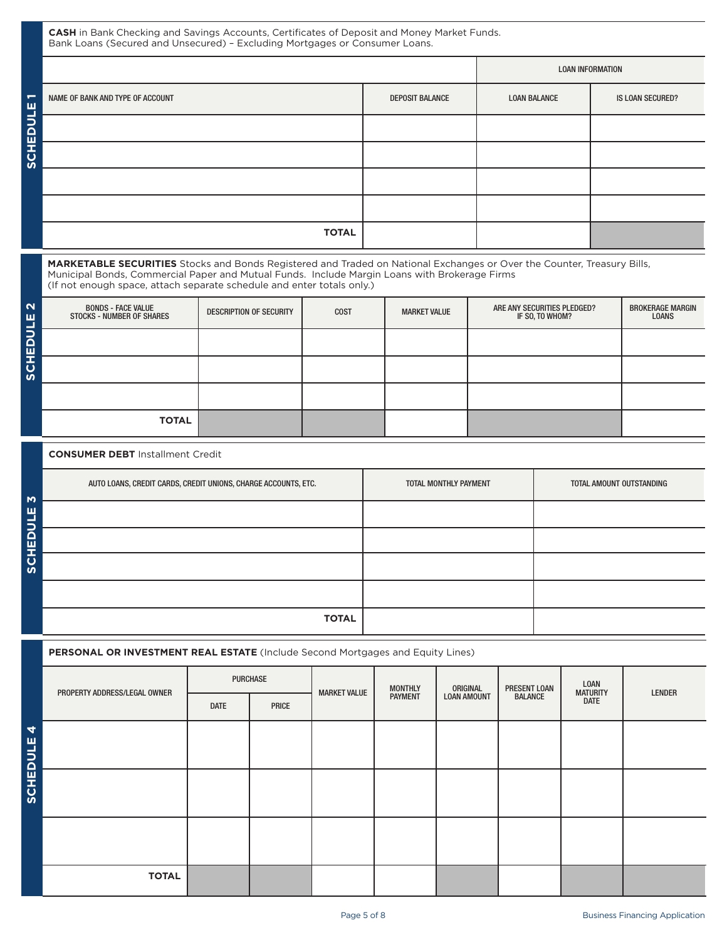CASH in Bank Checking and Savings Accounts, Certificates of Deposit and Money Market Funds. Bank Loans (Secured and Unsecured) - Excluding Mortgages or Consumer Loans.

|        |                                  | <b>LOAN INFORMATION</b> |                     |                  |
|--------|----------------------------------|-------------------------|---------------------|------------------|
| ш      | NAME OF BANK AND TYPE OF ACCOUNT | <b>DEPOSIT BALANCE</b>  | <b>LOAN BALANCE</b> | IS LOAN SECURED? |
| -      |                                  |                         |                     |                  |
| SCHEDL |                                  |                         |                     |                  |
|        |                                  |                         |                     |                  |
|        |                                  |                         |                     |                  |
|        | <b>TOTAL</b>                     |                         |                     |                  |

MARKETABLE SECURITIES Stocks and Bonds Registered and Traded on National Exchanges or Over the Counter, Treasury Bills, Municipal Bonds, Commercial Paper and Mutual Funds. Include Margin Loans with Brokerage Firms (If not enough space, attach separate schedule and enter totals only.)

| $\mathbf{\Omega}$<br>ш<br>_ | <b>BONDS - FACE VALUE</b><br><b>STOCKS - NUMBER OF SHARES</b> | <b>DESCRIPTION OF SECURITY</b> | <b>COST</b> | <b>MARKET VALUE</b> | ARE ANY SECURITIES PLEDGED?<br>IF SO, TO WHOM? | <b>BROKERAGE MARGIN</b><br><b>LOANS</b> |
|-----------------------------|---------------------------------------------------------------|--------------------------------|-------------|---------------------|------------------------------------------------|-----------------------------------------|
| ⇒<br>Ē                      |                                                               |                                |             |                     |                                                |                                         |
| ပ္တ                         |                                                               |                                |             |                     |                                                |                                         |
|                             |                                                               |                                |             |                     |                                                |                                         |
|                             | <b>TOTAL</b>                                                  |                                |             |                     |                                                |                                         |

#### **CONSUMER DEBT** Installment Credit

| Ю             | AUTO LOANS, CREDIT CARDS, CREDIT UNIONS, CHARGE ACCOUNTS, ETC. | TOTAL MONTHLY PAYMENT | TOTAL AMOUNT OUTSTANDING |
|---------------|----------------------------------------------------------------|-----------------------|--------------------------|
| ш<br>≡        |                                                                |                       |                          |
| <b>SCHEDI</b> |                                                                |                       |                          |
|               |                                                                |                       |                          |
|               |                                                                |                       |                          |
|               | <b>TOTAL</b>                                                   |                       |                          |

#### PERSONAL OR INVESTMENT REAL ESTATE (Include Second Mortgages and Equity Lines)

|                 | PROPERTY ADDRESS/LEGAL OWNER | <b>PURCHASE</b> |       | <b>MONTHLY</b><br><b>MARKET VALUE</b> | ORIGINAL       | PRESENT LOAN       | LOAN<br><b>MATURITY</b> | <b>LENDER</b> |  |  |
|-----------------|------------------------------|-----------------|-------|---------------------------------------|----------------|--------------------|-------------------------|---------------|--|--|
|                 |                              | <b>DATE</b>     | PRICE |                                       | <b>PAYMENT</b> | <b>LOAN AMOUNT</b> | <b>BALANCE</b>          | <b>DATE</b>   |  |  |
| 4               |                              |                 |       |                                       |                |                    |                         |               |  |  |
|                 |                              |                 |       |                                       |                |                    |                         |               |  |  |
| <b>SCHEDULE</b> |                              |                 |       |                                       |                |                    |                         |               |  |  |
|                 |                              |                 |       |                                       |                |                    |                         |               |  |  |
|                 |                              |                 |       |                                       |                |                    |                         |               |  |  |
|                 |                              |                 |       |                                       |                |                    |                         |               |  |  |
|                 | <b>TOTAL</b>                 |                 |       |                                       |                |                    |                         |               |  |  |
|                 |                              |                 |       |                                       |                |                    |                         |               |  |  |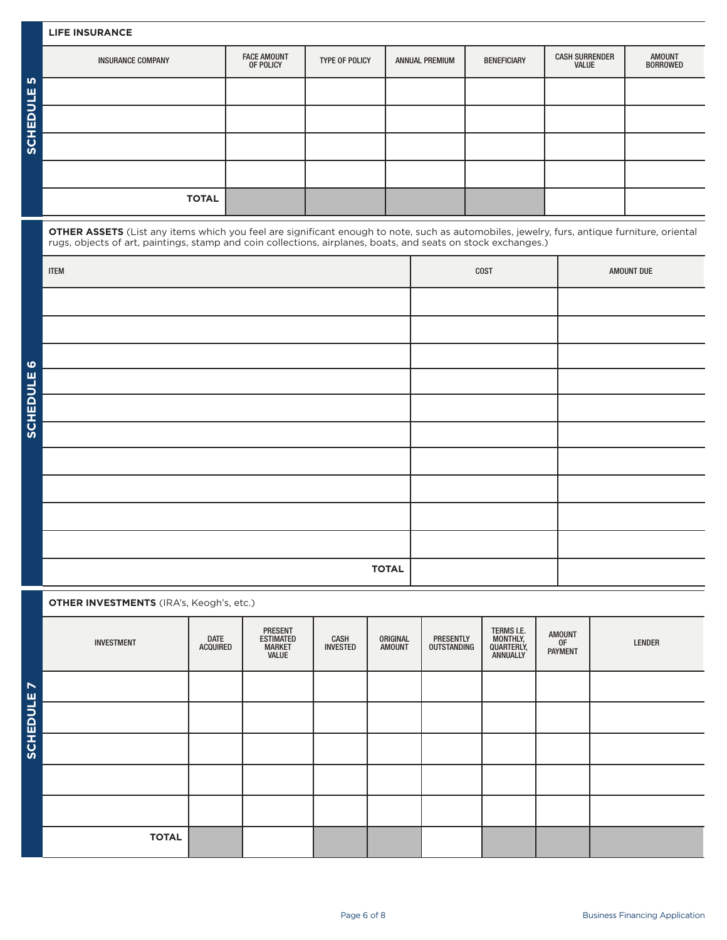#### **LIFE INSURANCE**

ミスロコく

|               | <b>INSURANCE COMPANY</b> | <b>FACE AMOUNT</b><br>OF POLICY | TYPE OF POLICY | <b>ANNUAL PREMIUM</b> | <b>BENEFICIARY</b> | <b>CASH SURRENDER</b><br>VALUE | <b>AMOUNT</b><br><b>BORROWED</b> |
|---------------|--------------------------|---------------------------------|----------------|-----------------------|--------------------|--------------------------------|----------------------------------|
| <b>In</b>     |                          |                                 |                |                       |                    |                                |                                  |
| <b>HEDULE</b> |                          |                                 |                |                       |                    |                                |                                  |
| <u>ပ</u> ြ    |                          |                                 |                |                       |                    |                                |                                  |
|               |                          |                                 |                |                       |                    |                                |                                  |
|               | <b>TOTAL</b>             |                                 |                |                       |                    |                                |                                  |

**OTHER ASSETS** (List any items which you feel are significant enough to note, such as automobiles, jewelry, furs, antique furniture, oriental rugs, objects of art, paintings, stamp and coin collections, airplanes, boats, and seats on stock exchanges.)

|                 | <b>ITEM</b>  | COST | AMOUNT DUE |
|-----------------|--------------|------|------------|
|                 |              |      |            |
|                 |              |      |            |
| ဖ               |              |      |            |
|                 |              |      |            |
| <b>SCHEDULE</b> |              |      |            |
|                 |              |      |            |
|                 |              |      |            |
|                 |              |      |            |
|                 |              |      |            |
|                 |              |      |            |
|                 | <b>TOTAL</b> |      |            |

**OTHER INVESTMENTS** (IRA's, Keogh's, etc.)

|                            | <b>INVESTMENT</b> | <b>DATE</b><br><b>ACQUIRED</b> | <b>PRESENT</b><br><b>ESTIMATED</b><br><b>MARKET</b><br>VALUE | CASH<br><b>INVESTED</b> | ORIGINAL<br><b>AMOUNT</b> | <b>PRESENTLY</b><br>OUTSTANDING | TERMS I.E.<br>MONTHLY,<br>QUARTERLY,<br>ANNUALLY | <b>AMOUNT</b><br>OF<br>PAYMENT | LENDER |
|----------------------------|-------------------|--------------------------------|--------------------------------------------------------------|-------------------------|---------------------------|---------------------------------|--------------------------------------------------|--------------------------------|--------|
| $\blacktriangleright$<br>щ |                   |                                |                                                              |                         |                           |                                 |                                                  |                                |        |
| <b>SCHEDUL</b>             |                   |                                |                                                              |                         |                           |                                 |                                                  |                                |        |
|                            |                   |                                |                                                              |                         |                           |                                 |                                                  |                                |        |
|                            |                   |                                |                                                              |                         |                           |                                 |                                                  |                                |        |
|                            |                   |                                |                                                              |                         |                           |                                 |                                                  |                                |        |
|                            | <b>TOTAL</b>      |                                |                                                              |                         |                           |                                 |                                                  |                                |        |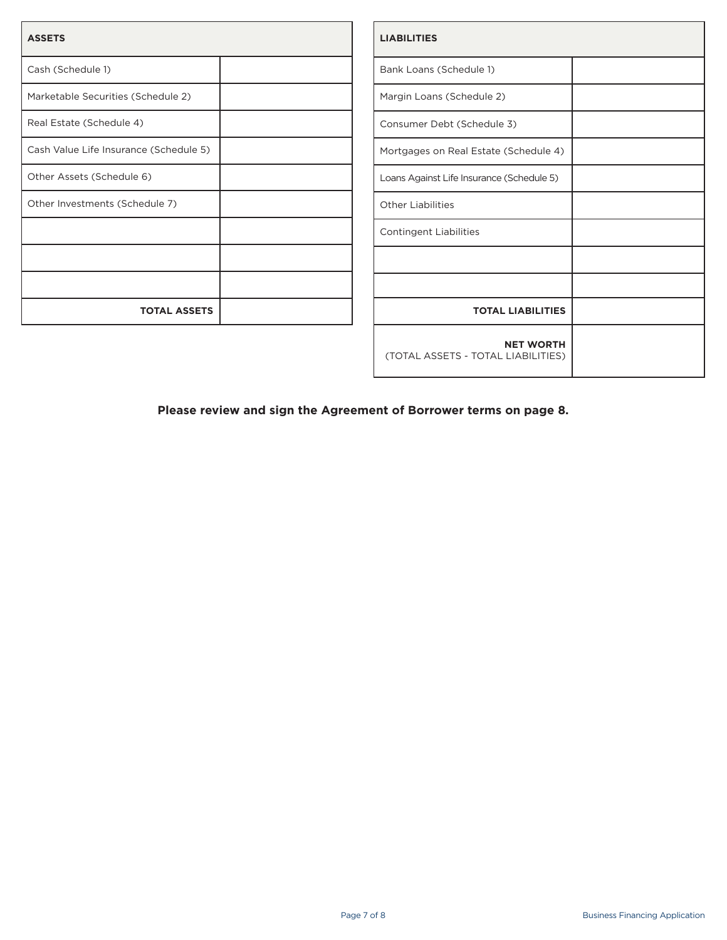| <b>ASSETS</b>                          |  |
|----------------------------------------|--|
| Cash (Schedule 1)                      |  |
| Marketable Securities (Schedule 2)     |  |
| Real Estate (Schedule 4)               |  |
| Cash Value Life Insurance (Schedule 5) |  |
| Other Assets (Schedule 6)              |  |
| Other Investments (Schedule 7)         |  |
|                                        |  |
|                                        |  |
|                                        |  |
| <b>TOTAL ASSETS</b>                    |  |

| <b>LIABILITIES</b>                                     |  |
|--------------------------------------------------------|--|
| Bank Loans (Schedule 1)                                |  |
| Margin Loans (Schedule 2)                              |  |
| Consumer Debt (Schedule 3)                             |  |
| Mortgages on Real Estate (Schedule 4)                  |  |
| Loans Against Life Insurance (Schedule 5)              |  |
| <b>Other Liabilities</b>                               |  |
| <b>Contingent Liabilities</b>                          |  |
|                                                        |  |
|                                                        |  |
| <b>TOTAL LIABILITIES</b>                               |  |
| <b>NET WORTH</b><br>(TOTAL ASSETS - TOTAL LIABILITIES) |  |

**Please review and sign the Agreement of Borrower terms on page 8.**